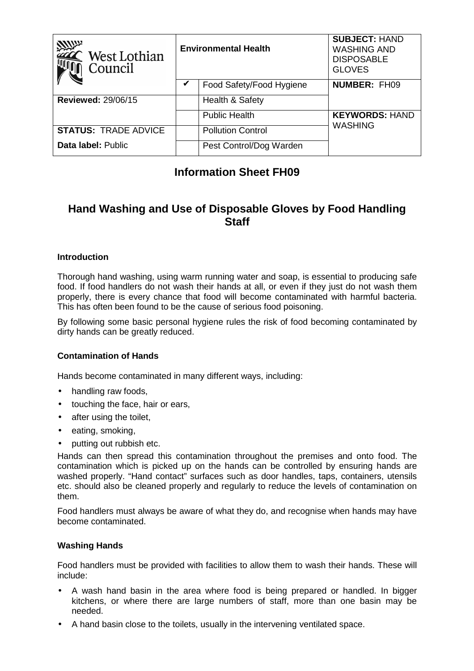| <b>West Lothian</b><br>Council | <b>Environmental Health</b> |                          | <b>SUBJECT: HAND</b><br><b>WASHING AND</b><br><b>DISPOSABLE</b><br><b>GLOVES</b> |
|--------------------------------|-----------------------------|--------------------------|----------------------------------------------------------------------------------|
|                                |                             | Food Safety/Food Hygiene | <b>NUMBER: FH09</b>                                                              |
| <b>Reviewed: 29/06/15</b>      |                             | Health & Safety          |                                                                                  |
|                                |                             | <b>Public Health</b>     | <b>KEYWORDS: HAND</b>                                                            |
| <b>STATUS: TRADE ADVICE</b>    |                             | <b>Pollution Control</b> | <b>WASHING</b>                                                                   |
| <b>Data label: Public</b>      |                             | Pest Control/Dog Warden  |                                                                                  |

## **Information Sheet FH09**

# **Hand Washing and Use of Disposable Gloves by Food Handling Staff**

### **Introduction**

Thorough hand washing, using warm running water and soap, is essential to producing safe food. If food handlers do not wash their hands at all, or even if they just do not wash them properly, there is every chance that food will become contaminated with harmful bacteria. This has often been found to be the cause of serious food poisoning.

By following some basic personal hygiene rules the risk of food becoming contaminated by dirty hands can be greatly reduced.

#### **Contamination of Hands**

Hands become contaminated in many different ways, including:

- handling raw foods,
- touching the face, hair or ears,
- after using the toilet,
- eating, smoking,
- putting out rubbish etc.

Hands can then spread this contamination throughout the premises and onto food. The contamination which is picked up on the hands can be controlled by ensuring hands are washed properly. "Hand contact" surfaces such as door handles, taps, containers, utensils etc. should also be cleaned properly and regularly to reduce the levels of contamination on them.

Food handlers must always be aware of what they do, and recognise when hands may have become contaminated.

#### **Washing Hands**

Food handlers must be provided with facilities to allow them to wash their hands. These will include:

- A wash hand basin in the area where food is being prepared or handled. In bigger kitchens, or where there are large numbers of staff, more than one basin may be needed.
- A hand basin close to the toilets, usually in the intervening ventilated space.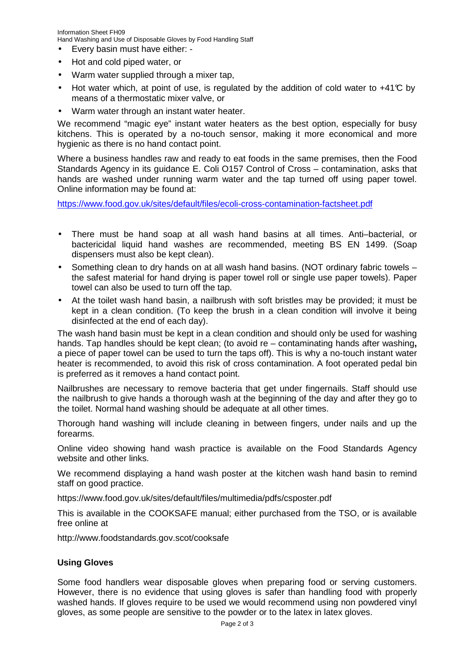Information Sheet FH09 Hand Washing and Use of Disposable Gloves by Food Handling Staff

- Every basin must have either: -
- Hot and cold piped water, or
- Warm water supplied through a mixer tap,
- Hot water which, at point of use, is regulated by the addition of cold water to +41°C by means of a thermostatic mixer valve, or
- Warm water through an instant water heater.

We recommend "magic eye" instant water heaters as the best option, especially for busy kitchens. This is operated by a no-touch sensor, making it more economical and more hygienic as there is no hand contact point.

Where a business handles raw and ready to eat foods in the same premises, then the Food Standards Agency in its guidance E. Coli O157 Control of Cross – contamination, asks that hands are washed under running warm water and the tap turned off using paper towel. Online information may be found at:

https://www.food.gov.uk/sites/default/files/ecoli-cross-contamination-factsheet.pdf

- There must be hand soap at all wash hand basins at all times. Anti–bacterial, or bactericidal liquid hand washes are recommended, meeting BS EN 1499. (Soap dispensers must also be kept clean).
- Something clean to dry hands on at all wash hand basins. (NOT ordinary fabric towels the safest material for hand drying is paper towel roll or single use paper towels). Paper towel can also be used to turn off the tap.
- At the toilet wash hand basin, a nailbrush with soft bristles may be provided; it must be kept in a clean condition. (To keep the brush in a clean condition will involve it being disinfected at the end of each day).

The wash hand basin must be kept in a clean condition and should only be used for washing hands. Tap handles should be kept clean; (to avoid re – contaminating hands after washing**,** a piece of paper towel can be used to turn the taps off). This is why a no-touch instant water heater is recommended, to avoid this risk of cross contamination. A foot operated pedal bin is preferred as it removes a hand contact point.

Nailbrushes are necessary to remove bacteria that get under fingernails. Staff should use the nailbrush to give hands a thorough wash at the beginning of the day and after they go to the toilet. Normal hand washing should be adequate at all other times.

Thorough hand washing will include cleaning in between fingers, under nails and up the forearms.

Online video showing hand wash practice is available on the Food Standards Agency website and other links.

We recommend displaying a hand wash poster at the kitchen wash hand basin to remind staff on good practice.

https://www.food.gov.uk/sites/default/files/multimedia/pdfs/csposter.pdf

This is available in the COOKSAFE manual; either purchased from the TSO, or is available free online at

http://www.foodstandards.gov.scot/cooksafe

#### **Using Gloves**

Some food handlers wear disposable gloves when preparing food or serving customers. However, there is no evidence that using gloves is safer than handling food with properly washed hands. If gloves require to be used we would recommend using non powdered vinyl gloves, as some people are sensitive to the powder or to the latex in latex gloves.